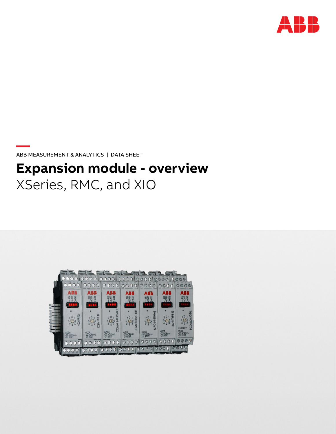

**—**  ABB MEASUREMENT & ANALYTICS | DATA SHEET

# **Expansion module - overview**  XSeries, RMC, and XIO

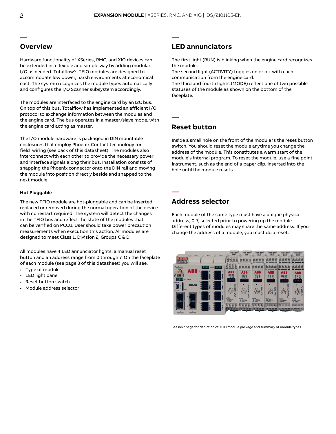**—** 

**—** 

**—** 

## **Overview**

Hardware functionality of XSeries, RMC, and XIO devices can be extended in a flexible and simple way by adding modular I/O as needed. Totalflow's TFIO modules are designed to accommodate low power, harsh environments at economical cost. The system recognizes the module types automatically and configures the I/O Scanner subsystem accordingly.

The modules are interfaced to the engine card by an I2C bus. On top of this bus, Totalflow has implemented an efficient I/O protocol to exchange information between the modules and the engine card. The bus operates in a master/slave mode, with the engine card acting as master.

The I/O module hardware is packaged in DIN mountable enclosures that employ Phoenix Contact technology for field wiring (see back of this datasheet). The modules also interconnect with each other to provide the necessary power and interface signals along their bus. Installation consists of snapping the Phoenix connector onto the DIN rail and moving the module into position directly beside and snapped to the next module.

#### **Hot Pluggable**

The new TFIO module are hot-pluggable and can be inserted, replaced or removed during the normal operation of the device with no restart required. The system will detect the changes in the TFIO bus and reflect the state of the modules that can be verified on PCCU. User should take power precaution measurements when execution this action. All modules are designed to meet Class 1, Division 2, Groups C & D.

All modules have 4 LED annunciator lights; a manual reset button and an address range from 0 through 7. On the faceplate of each module (see page 3 of this datasheet) you will see:

- Type of module
- LED light panel
- Reset button switch
- Module address selector

## **LED annunciators**

The first light (RUN) is blinking when the engine card recognizes the module.

The second light (ACTIVITY) toggles on or off with each communication from the engine card.

The third and fourth lights (MODE) reflect one of two possible statuses of the module as shown on the bottom of the faceplate.

### **Reset button**

Inside a small hole on the front of the module is the reset button switch. You should reset the module anytime you change the address of the module. This constitutes a warm start of the module's internal program. To reset the module, use a fine point instrument, such as the end of a paper clip, inserted into the hole until the module resets.

## **Address selector**

Each module of the same type must have a unique physical address, 0-7, selected prior to powering up the module. Different types of modules may share the same address. If you change the address of a module, you must do a reset.



See next page for depiction of TFIO module package and summary of module types.

**—**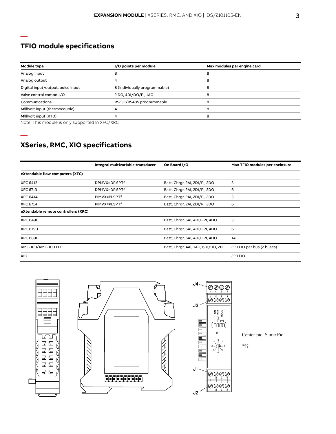## **TFIO module specifications**

**—** 

**—** 

| Module type                       | I/O points per module         | Max modules per engine card |  |
|-----------------------------------|-------------------------------|-----------------------------|--|
| Analog input                      |                               | ŏ                           |  |
| Analog output                     |                               | 8                           |  |
| Digital input/output, pulse input | 8 (individually programmable) | 8                           |  |
| Valve control combo-I/O           | 2 DO, 4DI/DO/PI, 1AO          | 8                           |  |
| Communications                    | RS232/RS485 programmable      | 8                           |  |
| Millivolt input (thermocouple)    |                               | 8                           |  |
| Millivolt input (RTD)             |                               | 8                           |  |

Note: This module is only supported in XFC/XRC

## **XSeries, RMC, XIO specifications**

|                                     | Integral multivariable transducer | On Board I/O                       | Max TFIO modules per enclosure |
|-------------------------------------|-----------------------------------|------------------------------------|--------------------------------|
| eXtendable flow computers (XFC)     |                                   |                                    |                                |
| <b>XFC 6413</b>                     | DPMVX=DP.SP.Tf                    | Batt, Chrgr, 2AI, 2DI/PI, 2DO      | 3                              |
| <b>XFC 6713</b>                     | DPMVX=DP.SP.Tf                    | Batt, Chrgr, 2AI, 2DI/PI, 2DO      | 6                              |
| <b>XFC 6414</b>                     | PIMVX=PI.SP.Tf                    | Batt, Chrgr, 2AI, 2DI/PI, 2DO      | 3                              |
| <b>XFC 6714</b>                     | PIMVX=PI.SP.Tf                    | Batt, Chrgr, 2AI, 2DI/PI, 2DO      | 6                              |
| eXtendable remote controllers (XRC) |                                   |                                    |                                |
| <b>XRC 6490</b>                     |                                   | Batt, Chrgr, 5AI, 4DI/2PI, 4DO     | 3                              |
| <b>XRC 6790</b>                     |                                   | Batt, Chrgr, 5AI, 4DI/2PI, 4DO     | 6                              |
| <b>XRC 6890</b>                     |                                   | Batt, Chrgr, 5AI, 4DI/2PI, 4DO     | 14                             |
| RMC-100/RMC-100 LITE                |                                   | Batt, Chrgr, 4AI, 1AO, 6DI/DO, 2PI | 22 TFIO per bus (2 buses)      |
| XIO                                 |                                   |                                    | 22 TFIO                        |







Center pic. Same Pic

???